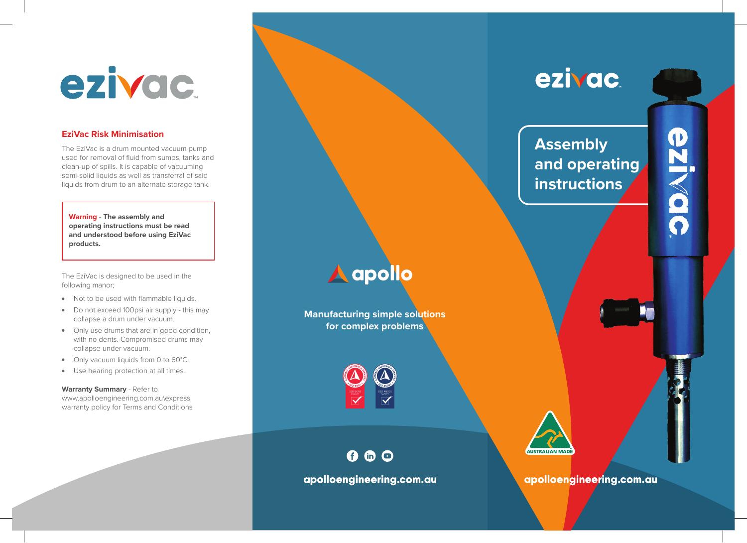## ezivac

## **EziVac Risk Minimisation**

The EziVac is a drum mounted vacuum pump used for removal of fluid from sumps, tanks and clean-up of spills. It is capable of vacuuming semi-solid liquids as well as transferral of said liquids from drum to an alternate storage tank.

**Warning** - **The assembly and operating instructions must be read and understood before using EziVac products.**

The EziVac is designed to be used in the following manor;

- Not to be used with flammable liquids.
- Do not exceed 100psi air supply this may collapse a drum under vacuum.
- Only use drums that are in good condition, with no dents. Compromised drums may collapse under vacuum.
- Only vacuum liquids from 0 to 60°C.
- Use hearing protection at all times.

**Warranty Summary** - Refer to www.apolloengineering.com.au\express warranty policy for Terms and Conditions



apolloengineering.com.au

 $0 0 0$ 

**AUSTRALIAN MADI** 

apolloengineering.com.au